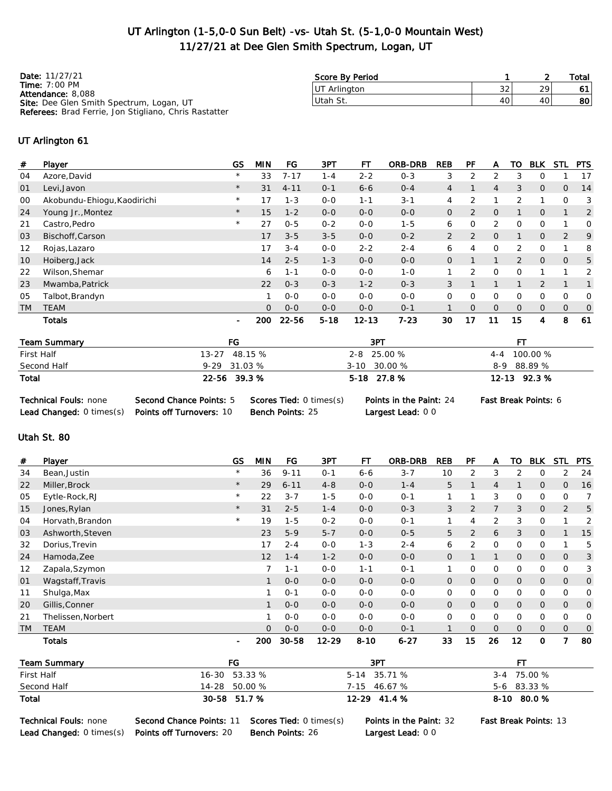## UT Arlington (1-5,0-0 Sun Belt) -vs- Utah St. (5-1,0-0 Mountain West) 11/27/21 at Dee Glen Smith Spectrum, Logan, UT

| <b>Date: 11/27/21</b>                                                | Score By Period |    |    | Total |
|----------------------------------------------------------------------|-----------------|----|----|-------|
| Time: $7:00$ PM                                                      | UT Arlinaton    | 32 | 29 | 61    |
| <b>Attendance: 8,088</b><br>Site: Dee Glen Smith Spectrum, Logan, UT | 'Utah St.       | 40 | 40 | 80    |
| <b>Referees:</b> Brad Ferrie, Jon Stigliano, Chris Rastatter         |                 |    |    |       |

#### UT Arlington 61

| #         | Player                      | GS             | <b>MIN</b>     | FG       | 3PT      | FТ        | ORB-DRB  | <b>REB</b>     | <b>PF</b>      | A              | то             | <b>BLK</b>     | <b>STL</b>     | <b>PTS</b>     |
|-----------|-----------------------------|----------------|----------------|----------|----------|-----------|----------|----------------|----------------|----------------|----------------|----------------|----------------|----------------|
| 04        | Azore, David                | $\star$        | 33             | $7 - 17$ | $1 - 4$  | $2 - 2$   | $0 - 3$  | 3              | 2              | 2              | 3              | 0              |                | 17             |
| 01        | Levi, Javon                 | $\star$        | 31             | $4 - 11$ | $0 - 1$  | $6 - 6$   | $0 - 4$  | $\overline{4}$ |                | $\overline{4}$ | 3              | $\overline{O}$ | $\overline{O}$ | 14             |
| 00        | Akobundu-Ehiogu, Kaodirichi | $\star$        | 17             | $1 - 3$  | $0-0$    | $1 - 1$   | $3 - 1$  | 4              | 2              | h              | 2              | 1              | 0              | 3              |
| 24        | Young Jr., Montez           | $\star$        | 15             | $1 - 2$  | $0-0$    | $0 - 0$   | $0 - 0$  | $\mathsf{O}$   | $\overline{2}$ | $\mathbf{O}$   |                | $\mathbf{O}$   |                | $\overline{2}$ |
| 21        | Castro, Pedro               | $\star$        | 27             | $0 - 5$  | $0 - 2$  | $0 - 0$   | $1 - 5$  | 6              | 0              | 2              | $\Omega$       | 0              |                | 0              |
| 03        | Bischoff, Carson            |                | 17             | $3 - 5$  | $3 - 5$  | $0 - 0$   | $0 - 2$  | $\overline{2}$ | $\overline{2}$ | $\mathbf{O}$   | $\mathbf{1}$   | $\overline{O}$ | 2              | 9              |
| 12        | Rojas, Lazaro               |                | 17             | $3 - 4$  | $0-0$    | $2 - 2$   | $2 - 4$  | 6              | 4              | 0              | 2              | 0              |                | 8              |
| 10        | Hoiberg, Jack               |                | 14             | $2 - 5$  | $1 - 3$  | $0 - 0$   | $0 - 0$  | $\mathsf{O}$   | 1              | 1              | $\overline{2}$ | $\overline{O}$ | $\overline{O}$ | 5              |
| 22        | Wilson, Shemar              |                | 6              | $1 - 1$  | $0-0$    | $0 - 0$   | $1 - 0$  |                | $\overline{2}$ | $\mathbf{O}$   | $\Omega$       |                |                | 2              |
| 23        | Mwamba, Patrick             |                | 22             | $0 - 3$  | $0 - 3$  | $1 - 2$   | $0 - 3$  | 3              |                | $\mathbf{1}$   | $\mathbf{1}$   | $\overline{2}$ |                |                |
| 05        | Talbot, Brandyn             |                |                | $0 - 0$  | $0-0$    | $0 - 0$   | $0-0$    | 0              | 0              | 0              | 0              | 0              | 0              | 0              |
| <b>TM</b> | <b>TEAM</b>                 |                | $\overline{O}$ | $0 - 0$  | $0 - 0$  | $0 - 0$   | $0 - 1$  |                | 0              | $\overline{O}$ | 0              | $\overline{O}$ | $\overline{O}$ | $\mathbf 0$    |
|           | <b>Totals</b>               | $\blacksquare$ | 200            | 22-56    | $5 - 18$ | $12 - 13$ | $7 - 23$ | 30             | 17             | 11             | 15             | 4              | 8              | 61             |
|           | <b>Team Summary</b>         | FG             |                |          |          | 3PT       |          |                |                |                | FT             |                |                |                |

| icani Juniila y | . 0           | JГ              |                |
|-----------------|---------------|-----------------|----------------|
| First Half      | 13-27 48.15 % | $2 - 8$ 25.00 % | 4-4 100.00 %   |
| Second Half     | 9-29 31.03 %  | 3-10 30.00 %    | $8-9$ $88.89%$ |
| Total           | 22-56 39.3 %  | $5-18$ 27.8 %   | 12-13 92.3 %   |
|                 |               |                 |                |

| Technical Fouls: none                              | Second Chance Points: 5 | <b>Scores Tied: 0 times(s)</b> |
|----------------------------------------------------|-------------------------|--------------------------------|
| Lead Changed: 0 times(s)  Points off Turnovers: 10 |                         | <b>Bench Points: 25</b>        |

Largest Lead: 0 0

Points in the Paint: 24 Fast Break Points: 6

### Utah St. 80

| #  | Player             | <b>GS</b>                    | MIN      | FG       | 3PT     | FТ       | ORB-DRB  | <b>REB</b>     | PF             | A              | то             | <b>BLK</b>     | STL            | <b>PTS</b>   |
|----|--------------------|------------------------------|----------|----------|---------|----------|----------|----------------|----------------|----------------|----------------|----------------|----------------|--------------|
| 34 | Bean, Justin       | $^{\star}$                   | 36       | $9 - 11$ | $O - 1$ | $6 - 6$  | $3 - 7$  | 10             | 2              | 3              | 2              | 0              | 2              | 24           |
| 22 | Miller, Brock      | $\star$                      | 29       | $6 - 11$ | $4 - 8$ | $0 - 0$  | $1 - 4$  | 5              |                | $\overline{4}$ |                | $\overline{O}$ | $\overline{O}$ | 16           |
| 05 | Eytle-Rock, RJ     | $^{\star}$                   | 22       | $3 - 7$  | $1 - 5$ | $0-0$    | $0 - 1$  | 1              |                | 3              | 0              | 0              | 0              | 7            |
| 15 | Jones, Rylan       | $\star$                      | 31       | $2 - 5$  | $1 - 4$ | $0 - 0$  | $0 - 3$  | 3              | $\overline{2}$ | 7              | 3              | 0              | $\overline{2}$ | 5            |
| 04 | Horvath, Brandon   | $^{\star}$                   | 19       | $1 - 5$  | $0 - 2$ | $0 - 0$  | $0 - 1$  | $\mathbf{1}$   | 4              | 2              | 3              | 0              |                | 2            |
| 03 | Ashworth, Steven   |                              | 23       | $5-9$    | $5 - 7$ | $0 - 0$  | $0 - 5$  | 5              | $\overline{2}$ | 6              | 3              | $\overline{O}$ | 1              | 15           |
| 32 | Dorius, Trevin     |                              | 17       | $2 - 4$  | $0 - 0$ | $1 - 3$  | $2 - 4$  | 6              | 2              | 0              | 0              | 0              |                | 5            |
| 24 | Hamoda, Zee        |                              | 12       | $1 - 4$  | $1 - 2$ | $0 - 0$  | $0 - 0$  | $\overline{0}$ |                | 1              | $\overline{0}$ | $\overline{O}$ | $\overline{0}$ | 3            |
| 12 | Zapala, Szymon     |                              | 7        | $1 - 1$  | $0-0$   | $1 - 1$  | $0 - 1$  | $\mathbf{1}$   | 0              | 0              | 0              | 0              | 0              | 3            |
| 01 | Wagstaff, Travis   |                              |          | $0 - 0$  | $0 - 0$ | $0 - 0$  | $0 - 0$  | 0              | 0              | 0              | $\overline{O}$ | $\mathbf{O}$   | $\overline{O}$ | 0            |
| 11 | Shulga, Max        |                              |          | $0 - 1$  | $0-0$   | $0 - 0$  | $0 - 0$  | 0              | $\Omega$       | 0              | $\Omega$       | 0              | 0              | 0            |
| 20 | Gillis, Conner     |                              |          | $0 - 0$  | $0-0$   | $0 - 0$  | $0 - 0$  | 0              | 0              | 0              | $\overline{O}$ | $\mathbf{O}$   | $\overline{O}$ | $\mathbf{O}$ |
| 21 | Thelissen, Norbert |                              |          | $0 - 0$  | $0 - 0$ | $0 - 0$  | $0 - 0$  | 0              | 0              | 0              | 0              | 0              | 0              | 0            |
| TM | TEAM               |                              | $\Omega$ | $0 - 0$  | $0 - 0$ | $0 - 0$  | $0 - 1$  | 1              | $\Omega$       | $\overline{O}$ | 0              | $\overline{O}$ | $\overline{O}$ | 0            |
|    | <b>Totals</b>      | $\qquad \qquad \blacksquare$ | 200      | 30-58    | 12-29   | $8 - 10$ | $6 - 27$ | 33             | 15             | 26             | 12             | 0              | 7              | 80           |

| Team Summary | FG            | 3PT            |               |
|--------------|---------------|----------------|---------------|
| First Half   | 16-30 53.33 % | $5-14$ 35.71 % | $3-4$ 75.00 % |
| Second Half  | 14-28 50.00 % | 7-15 46.67 %   | $5-6$ 83.33 % |
| Total        | 30-58 51.7 %  | 12-29 41.4 %   | 8-10 80.0 %   |

Technical Fouls: none Second Chance Points: 11 Scores Tied: 0 times(s) Points in the Paint: 32 Fast Break Points: 13 Lead Changed: 0 times(s) Points off Turnovers: 20 Bench Points: 26 Largest Lead: 0 0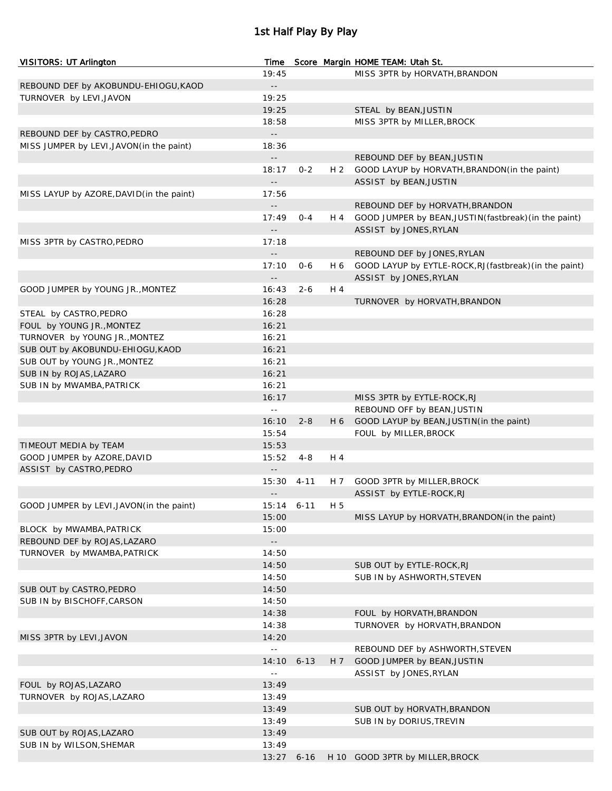## 1st Half Play By Play

| VISITORS: UT Arlington                    | Time                       |          |                | Score Margin HOME TEAM: Utah St.                        |
|-------------------------------------------|----------------------------|----------|----------------|---------------------------------------------------------|
|                                           | 19:45                      |          |                | MISS 3PTR by HORVATH, BRANDON                           |
| REBOUND DEF by AKOBUNDU-EHIOGU, KAOD      | $ -$                       |          |                |                                                         |
| TURNOVER by LEVI, JAVON                   | 19:25                      |          |                |                                                         |
|                                           | 19:25                      |          |                | STEAL by BEAN, JUSTIN                                   |
|                                           | 18:58                      |          |                | MISS 3PTR by MILLER, BROCK                              |
| REBOUND DEF by CASTRO, PEDRO              | $\overline{\phantom{a}}$ . |          |                |                                                         |
| MISS JUMPER by LEVI, JAVON (in the paint) | 18:36                      |          |                |                                                         |
|                                           |                            |          |                | REBOUND DEF by BEAN, JUSTIN                             |
|                                           | 18:17                      | $0 - 2$  | H <sub>2</sub> | GOOD LAYUP by HORVATH, BRANDON (in the paint)           |
|                                           |                            |          |                | ASSIST by BEAN, JUSTIN                                  |
| MISS LAYUP by AZORE, DAVID (in the paint) | 17:56                      |          |                |                                                         |
|                                           |                            |          |                | REBOUND DEF by HORVATH, BRANDON                         |
|                                           | 17:49                      | $0 - 4$  | H 4            | GOOD JUMPER by BEAN, JUSTIN (fastbreak) (in the paint)  |
|                                           | $ -$                       |          |                | ASSIST by JONES, RYLAN                                  |
| MISS 3PTR by CASTRO, PEDRO                | 17:18                      |          |                |                                                         |
|                                           |                            |          |                | REBOUND DEF by JONES, RYLAN                             |
|                                           | 17:10                      | $0 - 6$  | H 6            | GOOD LAYUP by EYTLE-ROCK, RJ (fastbreak) (in the paint) |
|                                           | $\overline{\phantom{a}}$ . |          |                | ASSIST by JONES, RYLAN                                  |
| GOOD JUMPER by YOUNG JR., MONTEZ          | 16:43                      | $2 - 6$  | H 4            |                                                         |
|                                           | 16:28                      |          |                | TURNOVER by HORVATH, BRANDON                            |
| STEAL by CASTRO, PEDRO                    | 16:28                      |          |                |                                                         |
| FOUL by YOUNG JR., MONTEZ                 | 16:21                      |          |                |                                                         |
| TURNOVER by YOUNG JR., MONTEZ             | 16:21                      |          |                |                                                         |
| SUB OUT by AKOBUNDU-EHIOGU, KAOD          | 16:21                      |          |                |                                                         |
| SUB OUT by YOUNG JR., MONTEZ              | 16:21                      |          |                |                                                         |
| SUB IN by ROJAS, LAZARO                   | 16:21                      |          |                |                                                         |
| SUB IN by MWAMBA, PATRICK                 | 16:21                      |          |                |                                                         |
|                                           | 16:17                      |          |                | MISS 3PTR by EYTLE-ROCK, RJ                             |
|                                           | $\sim$ $\sim$              |          |                | REBOUND OFF by BEAN, JUSTIN                             |
|                                           | 16:10                      | $2 - 8$  | H 6            | GOOD LAYUP by BEAN, JUSTIN(in the paint)                |
|                                           | 15:54                      |          |                | FOUL by MILLER, BROCK                                   |
| TIMEOUT MEDIA by TEAM                     | 15:53                      |          |                |                                                         |
| GOOD JUMPER by AZORE, DAVID               | 15:52                      | $4 - 8$  | H 4            |                                                         |
| ASSIST by CASTRO, PEDRO                   |                            |          |                |                                                         |
|                                           | $15:30$ 4-11               |          | H 7            | GOOD 3PTR by MILLER, BROCK                              |
|                                           | $ -$                       |          |                | ASSIST by EYTLE-ROCK, RJ                                |
| GOOD JUMPER by LEVI, JAVON(in the paint)  | 15:14                      | $6 - 11$ | H 5            |                                                         |
|                                           | 15:00                      |          |                | MISS LAYUP by HORVATH, BRANDON (in the paint)           |
| BLOCK by MWAMBA, PATRICK                  | 15:00                      |          |                |                                                         |
| REBOUND DEF by ROJAS, LAZARO              | $\sim$ $-$                 |          |                |                                                         |
| TURNOVER by MWAMBA, PATRICK               | 14:50                      |          |                |                                                         |
|                                           | 14:50                      |          |                | SUB OUT by EYTLE-ROCK, RJ                               |
|                                           | 14:50                      |          |                | SUB IN by ASHWORTH, STEVEN                              |
| SUB OUT by CASTRO, PEDRO                  | 14:50                      |          |                |                                                         |
| SUB IN by BISCHOFF, CARSON                | 14:50                      |          |                |                                                         |
|                                           | 14:38                      |          |                | FOUL by HORVATH, BRANDON                                |
|                                           | 14:38                      |          |                | TURNOVER by HORVATH, BRANDON                            |
|                                           | 14:20                      |          |                |                                                         |
| MISS 3PTR by LEVI, JAVON                  |                            |          |                | REBOUND DEF by ASHWORTH, STEVEN                         |
|                                           | $\sim$ $\sim$              |          |                |                                                         |
|                                           | 14:10                      | $6 - 13$ | H 7            | GOOD JUMPER by BEAN, JUSTIN                             |
|                                           | $\sim$ $-$                 |          |                | ASSIST by JONES, RYLAN                                  |
| FOUL by ROJAS, LAZARO                     | 13:49                      |          |                |                                                         |
| TURNOVER by ROJAS, LAZARO                 | 13:49                      |          |                |                                                         |
|                                           | 13:49                      |          |                | SUB OUT by HORVATH, BRANDON                             |
|                                           | 13:49                      |          |                | SUB IN by DORIUS, TREVIN                                |
| SUB OUT by ROJAS, LAZARO                  | 13:49                      |          |                |                                                         |
| SUB IN by WILSON, SHEMAR                  | 13:49                      |          |                |                                                         |
|                                           | 13:27                      | $6 - 16$ |                | H 10 GOOD 3PTR by MILLER, BROCK                         |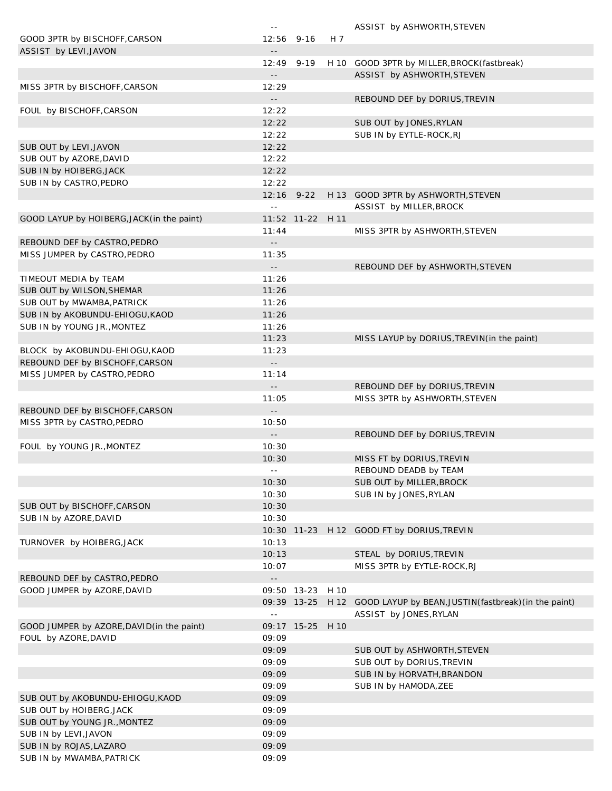|                                            | $\sim$ $\sim$              |                  |     | ASSIST by ASHWORTH, STEVEN                                             |
|--------------------------------------------|----------------------------|------------------|-----|------------------------------------------------------------------------|
| GOOD 3PTR by BISCHOFF, CARSON              | 12:56 9-16                 |                  | H 7 |                                                                        |
| ASSIST by LEVI, JAVON                      | $- -$                      |                  |     |                                                                        |
|                                            |                            | $12:49$ 9-19     |     | H 10 GOOD 3PTR by MILLER, BROCK (fastbreak)                            |
|                                            |                            |                  |     | ASSIST by ASHWORTH, STEVEN                                             |
| MISS 3PTR by BISCHOFF, CARSON              | 12:29                      |                  |     |                                                                        |
|                                            | $\overline{\phantom{a}}$ . |                  |     | REBOUND DEF by DORIUS, TREVIN                                          |
| FOUL by BISCHOFF, CARSON                   | 12:22                      |                  |     |                                                                        |
|                                            | 12:22                      |                  |     | SUB OUT by JONES, RYLAN                                                |
|                                            | 12:22                      |                  |     | SUB IN by EYTLE-ROCK, RJ                                               |
| SUB OUT by LEVI, JAVON                     | 12:22                      |                  |     |                                                                        |
| SUB OUT by AZORE, DAVID                    | 12:22                      |                  |     |                                                                        |
| SUB IN by HOIBERG, JACK                    | 12:22                      |                  |     |                                                                        |
| SUB IN by CASTRO, PEDRO                    | 12:22                      |                  |     |                                                                        |
|                                            | $12:16$ 9-22               |                  |     | H 13 GOOD 3PTR by ASHWORTH, STEVEN                                     |
|                                            | $\sim$ $-$                 |                  |     | ASSIST by MILLER, BROCK                                                |
| GOOD LAYUP by HOIBERG, JACK (in the paint) |                            | 11:52 11-22 H 11 |     |                                                                        |
|                                            | 11:44                      |                  |     | MISS 3PTR by ASHWORTH, STEVEN                                          |
| REBOUND DEF by CASTRO, PEDRO               | $\overline{\phantom{a}}$ . |                  |     |                                                                        |
| MISS JUMPER by CASTRO, PEDRO               | 11:35                      |                  |     |                                                                        |
|                                            | $\overline{\phantom{a}}$ . |                  |     | REBOUND DEF by ASHWORTH, STEVEN                                        |
| TIMEOUT MEDIA by TEAM                      | 11:26                      |                  |     |                                                                        |
| SUB OUT by WILSON, SHEMAR                  | 11:26                      |                  |     |                                                                        |
| SUB OUT by MWAMBA, PATRICK                 | 11:26                      |                  |     |                                                                        |
| SUB IN by AKOBUNDU-EHIOGU, KAOD            | 11:26                      |                  |     |                                                                        |
| SUB IN by YOUNG JR., MONTEZ                | 11:26                      |                  |     |                                                                        |
|                                            | 11:23                      |                  |     | MISS LAYUP by DORIUS, TREVIN(in the paint)                             |
| BLOCK by AKOBUNDU-EHIOGU, KAOD             | 11:23                      |                  |     |                                                                        |
| REBOUND DEF by BISCHOFF, CARSON            | $\sim$ $-$                 |                  |     |                                                                        |
| MISS JUMPER by CASTRO, PEDRO               | 11:14                      |                  |     |                                                                        |
|                                            | $\overline{\phantom{a}}$ . |                  |     | REBOUND DEF by DORIUS, TREVIN                                          |
|                                            | 11:05                      |                  |     | MISS 3PTR by ASHWORTH, STEVEN                                          |
| REBOUND DEF by BISCHOFF, CARSON            | $\overline{\phantom{a}}$ . |                  |     |                                                                        |
| MISS 3PTR by CASTRO, PEDRO                 | 10:50                      |                  |     |                                                                        |
|                                            | $\overline{\phantom{a}}$ . |                  |     | REBOUND DEF by DORIUS, TREVIN                                          |
| FOUL by YOUNG JR., MONTEZ                  | 10:30                      |                  |     |                                                                        |
|                                            | 10:30                      |                  |     | MISS FT by DORIUS, TREVIN                                              |
|                                            |                            |                  |     | REBOUND DEADB by TEAM                                                  |
|                                            | 10:30                      |                  |     | SUB OUT by MILLER, BROCK                                               |
|                                            | 10:30                      |                  |     | SUB IN by JONES, RYLAN                                                 |
| SUB OUT by BISCHOFF, CARSON                | 10:30                      |                  |     |                                                                        |
| SUB IN by AZORE, DAVID                     | 10:30                      |                  |     |                                                                        |
|                                            |                            |                  |     | 10:30 11-23 H 12 GOOD FT by DORIUS, TREVIN                             |
| TURNOVER by HOIBERG, JACK                  | 10:13                      |                  |     |                                                                        |
|                                            | 10:13                      |                  |     | STEAL by DORIUS, TREVIN                                                |
|                                            | 10:07                      |                  |     | MISS 3PTR by EYTLE-ROCK, RJ                                            |
| REBOUND DEF by CASTRO, PEDRO               |                            |                  |     |                                                                        |
| GOOD JUMPER by AZORE, DAVID                |                            | 09:50 13-23 H 10 |     |                                                                        |
|                                            |                            |                  |     | 09:39 13-25 H 12 GOOD LAYUP by BEAN, JUSTIN (fastbreak) (in the paint) |
|                                            | $\sim$ $-$                 |                  |     | ASSIST by JONES, RYLAN                                                 |
| GOOD JUMPER by AZORE, DAVID(in the paint)  |                            | 09:17 15-25 H 10 |     |                                                                        |
| FOUL by AZORE, DAVID                       | 09:09                      |                  |     |                                                                        |
|                                            | 09:09                      |                  |     | SUB OUT by ASHWORTH, STEVEN                                            |
|                                            | 09:09                      |                  |     | SUB OUT by DORIUS, TREVIN                                              |
|                                            | 09:09                      |                  |     | SUB IN by HORVATH, BRANDON                                             |
|                                            | 09:09                      |                  |     | SUB IN by HAMODA, ZEE                                                  |
| SUB OUT by AKOBUNDU-EHIOGU, KAOD           | 09:09                      |                  |     |                                                                        |
| SUB OUT by HOIBERG, JACK                   | 09:09                      |                  |     |                                                                        |
| SUB OUT by YOUNG JR., MONTEZ               | 09:09                      |                  |     |                                                                        |
| SUB IN by LEVI, JAVON                      | 09:09                      |                  |     |                                                                        |
| SUB IN by ROJAS, LAZARO                    | 09:09                      |                  |     |                                                                        |
| SUB IN by MWAMBA, PATRICK                  | 09:09                      |                  |     |                                                                        |
|                                            |                            |                  |     |                                                                        |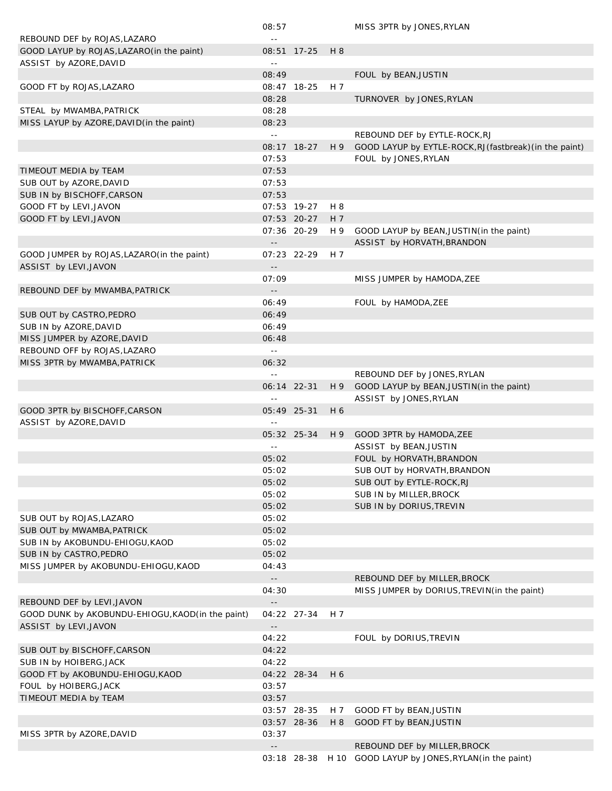|                                                         | 08:57                      |                            |            | MISS 3PTR by JONES, RYLAN                                              |
|---------------------------------------------------------|----------------------------|----------------------------|------------|------------------------------------------------------------------------|
| REBOUND DEF by ROJAS, LAZARO                            | $\sim$ $\sim$              |                            |            |                                                                        |
| GOOD LAYUP by ROJAS, LAZARO (in the paint)              |                            | 08:51 17-25                | H 8        |                                                                        |
| ASSIST by AZORE, DAVID                                  | $\sim$ $-$                 |                            |            |                                                                        |
|                                                         | 08:49                      |                            |            | FOUL by BEAN, JUSTIN                                                   |
| GOOD FT by ROJAS, LAZARO                                |                            | 08:47 18-25                | H 7        |                                                                        |
|                                                         | 08:28                      |                            |            | TURNOVER by JONES, RYLAN                                               |
| STEAL by MWAMBA, PATRICK                                | 08:28                      |                            |            |                                                                        |
| MISS LAYUP by AZORE, DAVID (in the paint)               | 08:23                      |                            |            |                                                                        |
|                                                         | $\perp$ $\perp$            |                            |            | REBOUND DEF by EYTLE-ROCK, RJ                                          |
|                                                         |                            | 08:17 18-27                | H 9        | GOOD LAYUP by EYTLE-ROCK, RJ (fastbreak) (in the paint)                |
|                                                         | 07:53                      |                            |            | FOUL by JONES, RYLAN                                                   |
| TIMEOUT MEDIA by TEAM                                   | 07:53                      |                            |            |                                                                        |
| SUB OUT by AZORE, DAVID                                 | 07:53                      |                            |            |                                                                        |
| SUB IN by BISCHOFF, CARSON                              | 07:53                      |                            |            |                                                                        |
| GOOD FT by LEVI, JAVON                                  |                            | 07:53 19-27                | H 8        |                                                                        |
| GOOD FT by LEVI, JAVON                                  |                            | 07:53 20-27                | H 7        |                                                                        |
|                                                         | $ -$                       | 07:36 20-29                | H 9        | GOOD LAYUP by BEAN, JUSTIN(in the paint)<br>ASSIST by HORVATH, BRANDON |
| GOOD JUMPER by ROJAS, LAZARO (in the paint)             |                            | 07:23 22-29                | H 7        |                                                                        |
| ASSIST by LEVI, JAVON                                   |                            |                            |            |                                                                        |
|                                                         | 07:09                      |                            |            | MISS JUMPER by HAMODA, ZEE                                             |
| REBOUND DEF by MWAMBA, PATRICK                          | $\overline{\phantom{a}}$ . |                            |            |                                                                        |
|                                                         | 06:49                      |                            |            | FOUL by HAMODA, ZEE                                                    |
| SUB OUT by CASTRO, PEDRO                                | 06:49                      |                            |            |                                                                        |
| SUB IN by AZORE, DAVID                                  | 06:49                      |                            |            |                                                                        |
| MISS JUMPER by AZORE, DAVID                             | 06:48                      |                            |            |                                                                        |
| REBOUND OFF by ROJAS, LAZARO                            | $\sim$ $\sim$              |                            |            |                                                                        |
| MISS 3PTR by MWAMBA, PATRICK                            | 06:32                      |                            |            |                                                                        |
|                                                         | $\sim$ $\sim$              |                            |            | REBOUND DEF by JONES, RYLAN                                            |
|                                                         | $\sim$ $\sim$              | 06:14 22-31                | H 9        | GOOD LAYUP by BEAN, JUSTIN (in the paint)<br>ASSIST by JONES, RYLAN    |
| GOOD 3PTR by BISCHOFF, CARSON<br>ASSIST by AZORE, DAVID | $\sim$ $\sim$              | 05:49 25-31                | H 6        |                                                                        |
|                                                         |                            | 05:32 25-34                | H 9        | GOOD 3PTR by HAMODA, ZEE                                               |
|                                                         |                            |                            |            | ASSIST by BEAN, JUSTIN                                                 |
|                                                         | 05:02                      |                            |            | FOUL by HORVATH, BRANDON                                               |
|                                                         | 05:02                      |                            |            | SUB OUT by HORVATH, BRANDON                                            |
|                                                         | 05:02                      |                            |            | SUB OUT by EYTLE-ROCK, RJ                                              |
|                                                         | 05:02                      |                            |            | SUB IN by MILLER, BROCK                                                |
|                                                         | 05:02                      |                            |            | SUB IN by DORIUS, TREVIN                                               |
| SUB OUT by ROJAS, LAZARO                                | 05:02                      |                            |            |                                                                        |
| SUB OUT by MWAMBA, PATRICK                              | 05:02                      |                            |            |                                                                        |
| SUB IN by AKOBUNDU-EHIOGU, KAOD                         | 05:02                      |                            |            |                                                                        |
| SUB IN by CASTRO, PEDRO                                 | 05:02                      |                            |            |                                                                        |
| MISS JUMPER by AKOBUNDU-EHIOGU, KAOD                    | 04:43                      |                            |            |                                                                        |
|                                                         | $\overline{\phantom{a}}$ . |                            |            | REBOUND DEF by MILLER, BROCK                                           |
|                                                         | 04:30                      |                            |            | MISS JUMPER by DORIUS, TREVIN(in the paint)                            |
| REBOUND DEF by LEVI, JAVON                              | $ -$                       |                            |            |                                                                        |
| GOOD DUNK by AKOBUNDU-EHIOGU, KAOD(in the paint)        |                            | 04:22 27-34                | H 7        |                                                                        |
| ASSIST by LEVI, JAVON                                   | $\overline{\phantom{m}}$ . |                            |            |                                                                        |
|                                                         | 04:22                      |                            |            | FOUL by DORIUS, TREVIN                                                 |
| SUB OUT by BISCHOFF, CARSON                             | 04:22                      |                            |            |                                                                        |
| SUB IN by HOIBERG, JACK                                 | 04:22                      |                            |            |                                                                        |
| GOOD FT by AKOBUNDU-EHIOGU, KAOD                        |                            | 04:22 28-34                | H 6        |                                                                        |
| FOUL by HOIBERG, JACK                                   | 03:57                      |                            |            |                                                                        |
| TIMEOUT MEDIA by TEAM                                   | 03:57                      |                            |            |                                                                        |
|                                                         |                            | 03:57 28-35<br>03:57 28-36 | H 7<br>H 8 | GOOD FT by BEAN, JUSTIN                                                |
| MISS 3PTR by AZORE, DAVID                               | 03:37                      |                            |            | GOOD FT by BEAN, JUSTIN                                                |
|                                                         | $\overline{\phantom{m}}$ . |                            |            | REBOUND DEF by MILLER, BROCK                                           |
|                                                         |                            |                            |            | 03:18 28-38 H 10 GOOD LAYUP by JONES, RYLAN(in the paint)              |
|                                                         |                            |                            |            |                                                                        |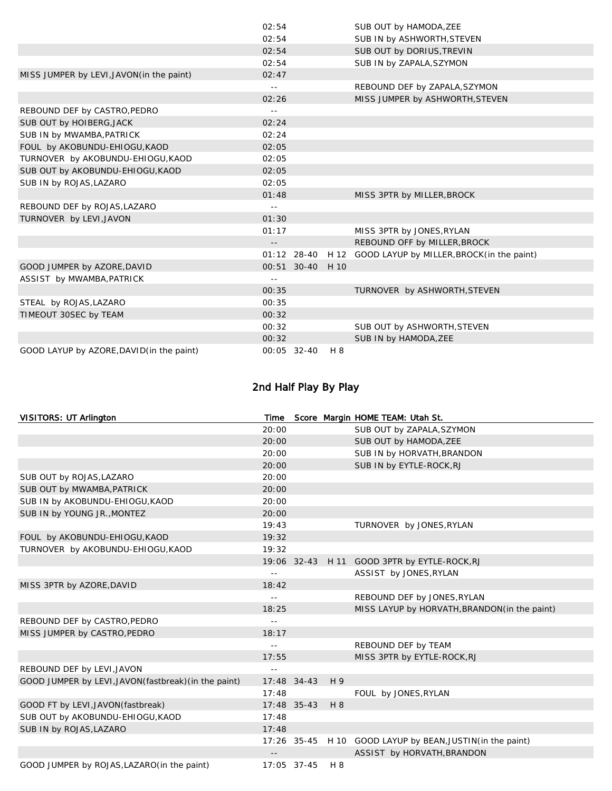|                                           | 02:54         |                  |     | SUB OUT by HAMODA, ZEE                                      |
|-------------------------------------------|---------------|------------------|-----|-------------------------------------------------------------|
|                                           | 02:54         |                  |     | SUB IN by ASHWORTH, STEVEN                                  |
|                                           | 02:54         |                  |     | SUB OUT by DORIUS, TREVIN                                   |
|                                           | 02:54         |                  |     | SUB IN by ZAPALA, SZYMON                                    |
| MISS JUMPER by LEVI, JAVON (in the paint) | 02:47         |                  |     |                                                             |
|                                           | $\sim$ $-$    |                  |     | REBOUND DEF by ZAPALA, SZYMON                               |
|                                           | 02:26         |                  |     | MISS JUMPER by ASHWORTH, STEVEN                             |
| REBOUND DEF by CASTRO, PEDRO              | $\sim$ $\sim$ |                  |     |                                                             |
| SUB OUT by HOIBERG, JACK                  | 02:24         |                  |     |                                                             |
| SUB IN by MWAMBA, PATRICK                 | 02:24         |                  |     |                                                             |
| FOUL by AKOBUNDU-EHIOGU, KAOD             | 02:05         |                  |     |                                                             |
| TURNOVER by AKOBUNDU-EHIOGU, KAOD         | 02:05         |                  |     |                                                             |
| SUB OUT by AKOBUNDU-EHIOGU, KAOD          | 02:05         |                  |     |                                                             |
| SUB IN by ROJAS, LAZARO                   | 02:05         |                  |     |                                                             |
|                                           | 01:48         |                  |     | MISS 3PTR by MILLER, BROCK                                  |
| REBOUND DEF by ROJAS, LAZARO              | $- -$         |                  |     |                                                             |
| TURNOVER by LEVI, JAVON                   | 01:30         |                  |     |                                                             |
|                                           | 01:17         |                  |     | MISS 3PTR by JONES, RYLAN                                   |
|                                           | $ -$          |                  |     | REBOUND OFF by MILLER, BROCK                                |
|                                           |               |                  |     | 01:12 28-40 H 12 GOOD LAYUP by MILLER, BROCK (in the paint) |
| GOOD JUMPER by AZORE, DAVID               |               | 00:51 30-40 H 10 |     |                                                             |
| ASSIST by MWAMBA, PATRICK                 | $\sim$ $\sim$ |                  |     |                                                             |
|                                           | 00:35         |                  |     | TURNOVER by ASHWORTH, STEVEN                                |
| STEAL by ROJAS, LAZARO                    | 00:35         |                  |     |                                                             |
| TIMEOUT 30SEC by TEAM                     | 00:32         |                  |     |                                                             |
|                                           | 00:32         |                  |     | SUB OUT by ASHWORTH, STEVEN                                 |
|                                           | 00:32         |                  |     | SUB IN by HAMODA, ZEE                                       |
| GOOD LAYUP by AZORE, DAVID(in the paint)  |               | 00:05 32-40      | H 8 |                                                             |

# 2nd Half Play By Play

| VISITORS: UT Arlington                                | Time              |               |     | Score Margin HOME TEAM: Utah St.                          |
|-------------------------------------------------------|-------------------|---------------|-----|-----------------------------------------------------------|
|                                                       | 20:00             |               |     | SUB OUT by ZAPALA, SZYMON                                 |
|                                                       | 20:00             |               |     | SUB OUT by HAMODA, ZEE                                    |
|                                                       | 20:00             |               |     | SUB IN by HORVATH, BRANDON                                |
|                                                       | 20:00             |               |     | SUB IN by EYTLE-ROCK, RJ                                  |
| SUB OUT by ROJAS, LAZARO                              | 20:00             |               |     |                                                           |
| SUB OUT by MWAMBA, PATRICK                            | 20:00             |               |     |                                                           |
| SUB IN by AKOBUNDU-EHIOGU, KAOD                       | 20:00             |               |     |                                                           |
| SUB IN by YOUNG JR., MONTEZ                           | 20:00             |               |     |                                                           |
|                                                       | 19:43             |               |     | TURNOVER by JONES, RYLAN                                  |
| FOUL by AKOBUNDU-EHIOGU, KAOD                         | 19:32             |               |     |                                                           |
| TURNOVER by AKOBUNDU-EHIOGU, KAOD                     | 19:32             |               |     |                                                           |
|                                                       |                   |               |     | 19:06 32-43 H 11 GOOD 3PTR by EYTLE-ROCK, RJ              |
|                                                       | $\sim$ $-$        |               |     | ASSIST by JONES, RYLAN                                    |
| MISS 3PTR by AZORE, DAVID                             | 18:42             |               |     |                                                           |
|                                                       | $-$               |               |     | REBOUND DEF by JONES, RYLAN                               |
|                                                       | 18:25             |               |     | MISS LAYUP by HORVATH, BRANDON (in the paint)             |
| REBOUND DEF by CASTRO, PEDRO                          | $\sim$ $-$        |               |     |                                                           |
| MISS JUMPER by CASTRO, PEDRO                          | 18:17             |               |     |                                                           |
|                                                       | $\sim$ $-$        |               |     | REBOUND DEF by TEAM                                       |
|                                                       | 17:55             |               |     | MISS 3PTR by EYTLE-ROCK, RJ                               |
| REBOUND DEF by LEVI, JAVON                            | $\equiv$ $\equiv$ |               |     |                                                           |
| GOOD JUMPER by LEVI, JAVON (fastbreak) (in the paint) |                   | $17:48$ 34-43 | H 9 |                                                           |
|                                                       | 17:48             |               |     | FOUL by JONES, RYLAN                                      |
| GOOD FT by LEVI, JAVON (fastbreak)                    |                   | $17:48$ 35-43 | H 8 |                                                           |
| SUB OUT by AKOBUNDU-EHIOGU, KAOD                      | 17:48             |               |     |                                                           |
| SUB IN by ROJAS, LAZARO                               | 17:48             |               |     |                                                           |
|                                                       |                   |               |     | 17:26 35-45 H 10 GOOD LAYUP by BEAN, JUSTIN(in the paint) |
|                                                       |                   |               |     | ASSIST by HORVATH, BRANDON                                |
| GOOD JUMPER by ROJAS, LAZARO (in the paint)           |                   | $17:05$ 37-45 | H 8 |                                                           |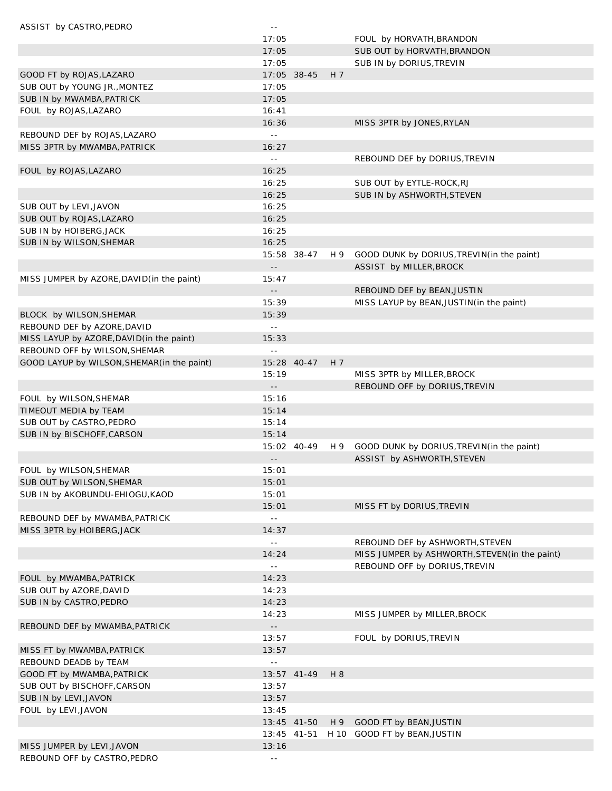| ASSIST by CASTRO, PEDRO                    | $\sim$ $-$                 |             |     |                                                |
|--------------------------------------------|----------------------------|-------------|-----|------------------------------------------------|
|                                            | 17:05                      |             |     | FOUL by HORVATH, BRANDON                       |
|                                            | 17:05                      |             |     | SUB OUT by HORVATH, BRANDON                    |
|                                            | 17:05                      |             |     | SUB IN by DORIUS, TREVIN                       |
| GOOD FT by ROJAS, LAZARO                   |                            | 17:05 38-45 | H 7 |                                                |
| SUB OUT by YOUNG JR., MONTEZ               | 17:05                      |             |     |                                                |
| SUB IN by MWAMBA, PATRICK                  | 17:05                      |             |     |                                                |
| FOUL by ROJAS, LAZARO                      | 16:41                      |             |     |                                                |
|                                            | 16:36                      |             |     | MISS 3PTR by JONES, RYLAN                      |
| REBOUND DEF by ROJAS, LAZARO               | $\omega$ $\omega$          |             |     |                                                |
| MISS 3PTR by MWAMBA, PATRICK               | 16:27                      |             |     |                                                |
|                                            | $-1$                       |             |     | REBOUND DEF by DORIUS, TREVIN                  |
| FOUL by ROJAS, LAZARO                      | 16:25                      |             |     |                                                |
|                                            | 16:25                      |             |     | SUB OUT by EYTLE-ROCK, RJ                      |
|                                            | 16:25                      |             |     | SUB IN by ASHWORTH, STEVEN                     |
| SUB OUT by LEVI, JAVON                     | 16:25                      |             |     |                                                |
| SUB OUT by ROJAS, LAZARO                   | 16:25                      |             |     |                                                |
| SUB IN by HOIBERG, JACK                    | 16:25                      |             |     |                                                |
| SUB IN by WILSON, SHEMAR                   | 16:25                      |             |     |                                                |
|                                            |                            | 15:58 38-47 | H 9 | GOOD DUNK by DORIUS, TREVIN(in the paint)      |
|                                            | $\overline{\phantom{a}}$ . |             |     | ASSIST by MILLER, BROCK                        |
| MISS JUMPER by AZORE, DAVID(in the paint)  | 15:47                      |             |     |                                                |
|                                            | $\overline{\phantom{a}}$ . |             |     | REBOUND DEF by BEAN, JUSTIN                    |
|                                            | 15:39                      |             |     | MISS LAYUP by BEAN, JUSTIN (in the paint)      |
| BLOCK by WILSON, SHEMAR                    | 15:39                      |             |     |                                                |
| REBOUND DEF by AZORE, DAVID                | $\perp$ $\perp$            |             |     |                                                |
| MISS LAYUP by AZORE, DAVID (in the paint)  | 15:33                      |             |     |                                                |
| REBOUND OFF by WILSON, SHEMAR              | $\overline{\phantom{a}}$   |             |     |                                                |
| GOOD LAYUP by WILSON, SHEMAR(in the paint) |                            | 15:28 40-47 | H 7 |                                                |
|                                            | 15:19                      |             |     | MISS 3PTR by MILLER, BROCK                     |
|                                            | $\sim$ $-$                 |             |     | REBOUND OFF by DORIUS, TREVIN                  |
|                                            | 15:16                      |             |     |                                                |
| FOUL by WILSON, SHEMAR                     | 15:14                      |             |     |                                                |
| TIMEOUT MEDIA by TEAM                      | 15:14                      |             |     |                                                |
| SUB OUT by CASTRO, PEDRO                   |                            |             |     |                                                |
| SUB IN by BISCHOFF, CARSON                 | 15:14                      |             |     |                                                |
|                                            |                            | 15:02 40-49 | H 9 | GOOD DUNK by DORIUS, TREVIN(in the paint)      |
|                                            | $ -$                       |             |     | ASSIST by ASHWORTH, STEVEN                     |
| FOUL by WILSON, SHEMAR                     | 15:01                      |             |     |                                                |
| SUB OUT by WILSON, SHEMAR                  | 15:01                      |             |     |                                                |
| SUB IN by AKOBUNDU-EHIOGU, KAOD            | 15:01                      |             |     |                                                |
|                                            | 15:01                      |             |     | MISS FT by DORIUS, TREVIN                      |
| REBOUND DEF by MWAMBA, PATRICK             | $\perp$ $\perp$            |             |     |                                                |
| MISS 3PTR by HOIBERG, JACK                 | 14:37                      |             |     |                                                |
|                                            | $\overline{\phantom{a}}$ . |             |     | REBOUND DEF by ASHWORTH, STEVEN                |
|                                            | 14:24                      |             |     | MISS JUMPER by ASHWORTH, STEVEN (in the paint) |
|                                            | $\Box$                     |             |     | REBOUND OFF by DORIUS, TREVIN                  |
| FOUL by MWAMBA, PATRICK                    | 14:23                      |             |     |                                                |
| SUB OUT by AZORE, DAVID                    | 14:23                      |             |     |                                                |
| SUB IN by CASTRO, PEDRO                    | 14:23                      |             |     |                                                |
|                                            | 14:23                      |             |     | MISS JUMPER by MILLER, BROCK                   |
| REBOUND DEF by MWAMBA, PATRICK             | $\sim$ $-$                 |             |     |                                                |
|                                            | 13:57                      |             |     | FOUL by DORIUS, TREVIN                         |
| MISS FT by MWAMBA, PATRICK                 | 13:57                      |             |     |                                                |
| REBOUND DEADB by TEAM                      | $\overline{a}$             |             |     |                                                |
| GOOD FT by MWAMBA, PATRICK                 |                            | 13:57 41-49 | H 8 |                                                |
| SUB OUT by BISCHOFF, CARSON                | 13:57                      |             |     |                                                |
| SUB IN by LEVI, JAVON                      | 13:57                      |             |     |                                                |
| FOUL by LEVI, JAVON                        | 13:45                      |             |     |                                                |
|                                            |                            | 13:45 41-50 |     | H 9 GOOD FT by BEAN, JUSTIN                    |
|                                            |                            | 13:45 41-51 |     | H 10 GOOD FT by BEAN, JUSTIN                   |
| MISS JUMPER by LEVI, JAVON                 | 13:16                      |             |     |                                                |
| REBOUND OFF by CASTRO, PEDRO               | $\sim$ $-$                 |             |     |                                                |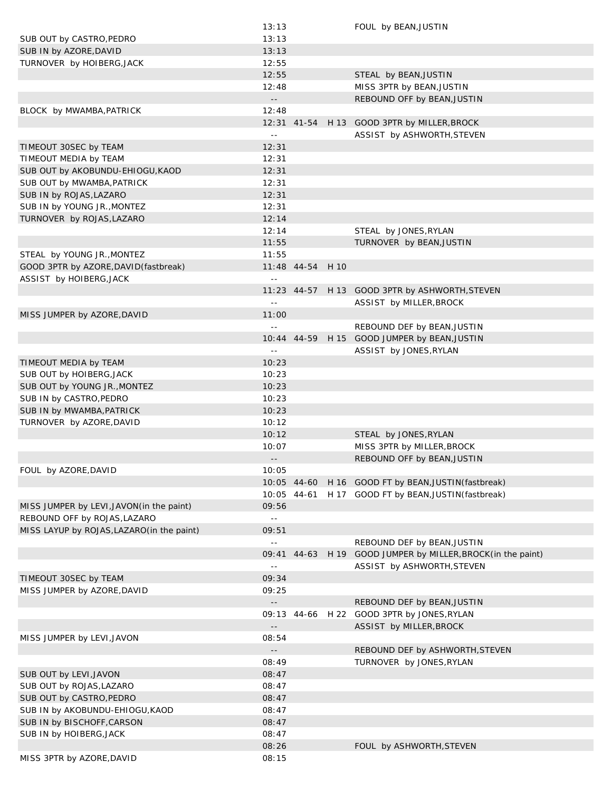|                                            | 13:13           |                  | FOUL by BEAN, JUSTIN                                 |
|--------------------------------------------|-----------------|------------------|------------------------------------------------------|
| SUB OUT by CASTRO, PEDRO                   | 13:13           |                  |                                                      |
| SUB IN by AZORE, DAVID                     | 13:13           |                  |                                                      |
| TURNOVER by HOIBERG, JACK                  | 12:55           |                  |                                                      |
|                                            | 12:55           |                  | STEAL by BEAN, JUSTIN                                |
|                                            | 12:48           |                  | MISS 3PTR by BEAN, JUSTIN                            |
|                                            | $- -$           |                  | REBOUND OFF by BEAN, JUSTIN                          |
|                                            | 12:48           |                  |                                                      |
| BLOCK by MWAMBA, PATRICK                   |                 |                  |                                                      |
|                                            |                 |                  | 12:31 41-54 H 13 GOOD 3PTR by MILLER, BROCK          |
|                                            | $\perp$ $\perp$ |                  | ASSIST by ASHWORTH, STEVEN                           |
| TIMEOUT 30SEC by TEAM                      | 12:31           |                  |                                                      |
| TIMEOUT MEDIA by TEAM                      | 12:31           |                  |                                                      |
| SUB OUT by AKOBUNDU-EHIOGU, KAOD           | 12:31           |                  |                                                      |
| SUB OUT by MWAMBA, PATRICK                 | 12:31           |                  |                                                      |
| SUB IN by ROJAS, LAZARO                    | 12:31           |                  |                                                      |
| SUB IN by YOUNG JR., MONTEZ                | 12:31           |                  |                                                      |
| TURNOVER by ROJAS, LAZARO                  | 12:14           |                  |                                                      |
|                                            | 12:14           |                  | STEAL by JONES, RYLAN                                |
|                                            | 11:55           |                  | TURNOVER by BEAN, JUSTIN                             |
| STEAL by YOUNG JR., MONTEZ                 | 11:55           |                  |                                                      |
|                                            |                 |                  |                                                      |
| GOOD 3PTR by AZORE, DAVID (fastbreak)      |                 | 11:48 44-54 H 10 |                                                      |
| ASSIST by HOIBERG, JACK                    | $\sim$ $-$      |                  |                                                      |
|                                            |                 |                  | 11:23 44-57 H 13 GOOD 3PTR by ASHWORTH, STEVEN       |
|                                            | $\sim$ $-$      |                  | ASSIST by MILLER, BROCK                              |
| MISS JUMPER by AZORE, DAVID                | 11:00           |                  |                                                      |
|                                            | $\sim$ $-$      |                  | REBOUND DEF by BEAN, JUSTIN                          |
|                                            |                 | 10:44 44-59      | H 15 GOOD JUMPER by BEAN, JUSTIN                     |
|                                            | $\sim$ $\sim$   |                  | ASSIST by JONES, RYLAN                               |
| TIMEOUT MEDIA by TEAM                      | 10:23           |                  |                                                      |
| SUB OUT by HOIBERG, JACK                   | 10:23           |                  |                                                      |
| SUB OUT by YOUNG JR., MONTEZ               | 10:23           |                  |                                                      |
| SUB IN by CASTRO, PEDRO                    | 10:23           |                  |                                                      |
|                                            |                 |                  |                                                      |
| SUB IN by MWAMBA, PATRICK                  | 10:23           |                  |                                                      |
| TURNOVER by AZORE, DAVID                   | 10:12           |                  |                                                      |
|                                            | 10:12           |                  | STEAL by JONES, RYLAN                                |
|                                            | 10:07           |                  | MISS 3PTR by MILLER, BROCK                           |
|                                            |                 |                  | REBOUND OFF by BEAN, JUSTIN                          |
| FOUL by AZORE, DAVID                       | 10:05           |                  |                                                      |
|                                            |                 |                  | 10:05 44-60 H 16 GOOD FT by BEAN, JUSTIN (fastbreak) |
|                                            |                 |                  | 10:05 44-61 H 17 GOOD FT by BEAN, JUSTIN (fastbreak) |
| MISS JUMPER by LEVI, JAVON (in the paint)  | 09:56           |                  |                                                      |
| REBOUND OFF by ROJAS, LAZARO               | $\sim$ $-$      |                  |                                                      |
| MISS LAYUP by ROJAS, LAZARO (in the paint) | 09:51           |                  |                                                      |
|                                            | $\sim$ $-$      |                  |                                                      |
|                                            |                 |                  | REBOUND DEF by BEAN, JUSTIN                          |
|                                            |                 | 09:41 44-63      | H 19 GOOD JUMPER by MILLER, BROCK (in the paint)     |
|                                            | $\sim$ $\sim$   |                  | ASSIST by ASHWORTH, STEVEN                           |
| TIMEOUT 30SEC by TEAM                      | 09:34           |                  |                                                      |
| MISS JUMPER by AZORE, DAVID                | 09:25           |                  |                                                      |
|                                            |                 |                  | REBOUND DEF by BEAN, JUSTIN                          |
|                                            |                 | 09:13 44-66 H 22 | GOOD 3PTR by JONES, RYLAN                            |
|                                            |                 |                  | ASSIST by MILLER, BROCK                              |
| MISS JUMPER by LEVI, JAVON                 | 08:54           |                  |                                                      |
|                                            |                 |                  | REBOUND DEF by ASHWORTH, STEVEN                      |
|                                            | 08:49           |                  | TURNOVER by JONES, RYLAN                             |
| SUB OUT by LEVI, JAVON                     | 08:47           |                  |                                                      |
|                                            |                 |                  |                                                      |
| SUB OUT by ROJAS, LAZARO                   | 08:47           |                  |                                                      |
| SUB OUT by CASTRO, PEDRO                   | 08:47           |                  |                                                      |
| SUB IN by AKOBUNDU-EHIOGU, KAOD            | 08:47           |                  |                                                      |
| SUB IN by BISCHOFF, CARSON                 | 08:47           |                  |                                                      |
| SUB IN by HOIBERG, JACK                    | 08:47           |                  |                                                      |
|                                            | 08:26           |                  | FOUL by ASHWORTH, STEVEN                             |
| MISS 3PTR by AZORE, DAVID                  | 08:15           |                  |                                                      |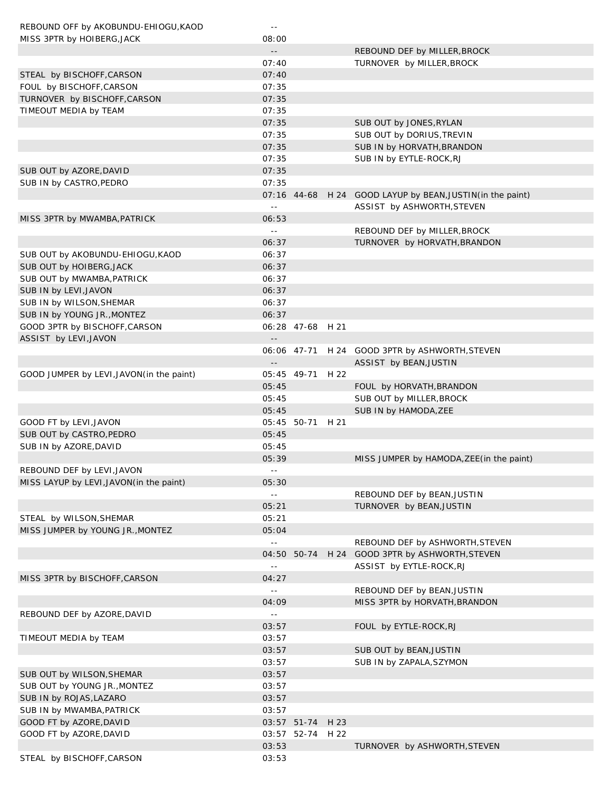| REBOUND OFF by AKOBUNDU-EHIOGU, KAOD     | $\sim$ $-$                 |                  |      |                                                           |
|------------------------------------------|----------------------------|------------------|------|-----------------------------------------------------------|
| MISS 3PTR by HOIBERG, JACK               | 08:00                      |                  |      |                                                           |
|                                          | $\overline{\phantom{a}}$ . |                  |      | REBOUND DEF by MILLER, BROCK                              |
|                                          | 07:40                      |                  |      | TURNOVER by MILLER, BROCK                                 |
| STEAL by BISCHOFF, CARSON                | 07:40                      |                  |      |                                                           |
| FOUL by BISCHOFF, CARSON                 | 07:35                      |                  |      |                                                           |
| TURNOVER by BISCHOFF, CARSON             | 07:35                      |                  |      |                                                           |
| TIMEOUT MEDIA by TEAM                    | 07:35                      |                  |      |                                                           |
|                                          | 07:35                      |                  |      | SUB OUT by JONES, RYLAN                                   |
|                                          | 07:35                      |                  |      | SUB OUT by DORIUS, TREVIN                                 |
|                                          | 07:35                      |                  |      | SUB IN by HORVATH, BRANDON                                |
|                                          | 07:35                      |                  |      | SUB IN by EYTLE-ROCK, RJ                                  |
| SUB OUT by AZORE, DAVID                  | 07:35                      |                  |      |                                                           |
| SUB IN by CASTRO, PEDRO                  | 07:35                      |                  |      |                                                           |
|                                          |                            |                  |      | 07:16 44-68 H 24 GOOD LAYUP by BEAN, JUSTIN(in the paint) |
|                                          | $\sim$ $-$                 |                  |      | ASSIST by ASHWORTH, STEVEN                                |
| MISS 3PTR by MWAMBA, PATRICK             | 06:53                      |                  |      |                                                           |
|                                          | $\sim$ $-$                 |                  |      | REBOUND DEF by MILLER, BROCK                              |
|                                          |                            |                  |      |                                                           |
|                                          | 06:37                      |                  |      | TURNOVER by HORVATH, BRANDON                              |
| SUB OUT by AKOBUNDU-EHIOGU, KAOD         | 06:37                      |                  |      |                                                           |
| SUB OUT by HOIBERG, JACK                 | 06:37                      |                  |      |                                                           |
| SUB OUT by MWAMBA, PATRICK               | 06:37                      |                  |      |                                                           |
| SUB IN by LEVI, JAVON                    | 06:37                      |                  |      |                                                           |
| SUB IN by WILSON, SHEMAR                 | 06:37                      |                  |      |                                                           |
| SUB IN by YOUNG JR., MONTEZ              | 06:37                      |                  |      |                                                           |
| GOOD 3PTR by BISCHOFF, CARSON            |                            | 06:28 47-68 H 21 |      |                                                           |
| ASSIST by LEVI, JAVON                    | $\overline{\phantom{a}}$ . |                  |      |                                                           |
|                                          |                            |                  |      | 06:06 47-71 H 24 GOOD 3PTR by ASHWORTH, STEVEN            |
|                                          | $ -$                       |                  |      | ASSIST by BEAN, JUSTIN                                    |
| GOOD JUMPER by LEVI, JAVON(in the paint) |                            | 05:45 49-71 H 22 |      |                                                           |
|                                          | 05:45                      |                  |      | FOUL by HORVATH, BRANDON                                  |
|                                          | 05:45                      |                  |      | SUB OUT by MILLER, BROCK                                  |
|                                          | 05:45                      |                  |      | SUB IN by HAMODA, ZEE                                     |
| GOOD FT by LEVI, JAVON                   |                            | 05:45 50-71 H 21 |      |                                                           |
| SUB OUT by CASTRO, PEDRO                 | 05:45                      |                  |      |                                                           |
| SUB IN by AZORE, DAVID                   | 05:45                      |                  |      |                                                           |
|                                          | 05:39                      |                  |      | MISS JUMPER by HAMODA, ZEE (in the paint)                 |
| REBOUND DEF by LEVI, JAVON               |                            |                  |      |                                                           |
| MISS LAYUP by LEVI, JAVON(in the paint)  | 05:30                      |                  |      |                                                           |
|                                          | $\sim$ $-$                 |                  |      | REBOUND DEF by BEAN, JUSTIN                               |
|                                          | 05:21                      |                  |      | TURNOVER by BEAN, JUSTIN                                  |
| STEAL by WILSON, SHEMAR                  | 05:21                      |                  |      |                                                           |
| MISS JUMPER by YOUNG JR., MONTEZ         | 05:04                      |                  |      |                                                           |
|                                          | $\sim$ $-$                 |                  |      | REBOUND DEF by ASHWORTH, STEVEN                           |
|                                          |                            | 04:50 50-74      | H 24 | GOOD 3PTR by ASHWORTH, STEVEN                             |
|                                          | $\sim$ $-$                 |                  |      | ASSIST by EYTLE-ROCK, RJ                                  |
| MISS 3PTR by BISCHOFF, CARSON            | 04:27                      |                  |      |                                                           |
|                                          | $\sim$ $-$                 |                  |      | REBOUND DEF by BEAN, JUSTIN                               |
|                                          | 04:09                      |                  |      | MISS 3PTR by HORVATH, BRANDON                             |
|                                          |                            |                  |      |                                                           |
| REBOUND DEF by AZORE, DAVID              | $\sim$ $-$                 |                  |      |                                                           |
|                                          | 03:57                      |                  |      | FOUL by EYTLE-ROCK, RJ                                    |
| TIMEOUT MEDIA by TEAM                    | 03:57                      |                  |      |                                                           |
|                                          | 03:57                      |                  |      | SUB OUT by BEAN, JUSTIN                                   |
|                                          | 03:57                      |                  |      | SUB IN by ZAPALA, SZYMON                                  |
| SUB OUT by WILSON, SHEMAR                | 03:57                      |                  |      |                                                           |
| SUB OUT by YOUNG JR., MONTEZ             | 03:57                      |                  |      |                                                           |
| SUB IN by ROJAS, LAZARO                  | 03:57                      |                  |      |                                                           |
| SUB IN by MWAMBA, PATRICK                | 03:57                      |                  |      |                                                           |
| GOOD FT by AZORE, DAVID                  |                            | 03:57 51-74      | H 23 |                                                           |
| GOOD FT by AZORE, DAVID                  |                            | 03:57 52-74 H 22 |      |                                                           |
|                                          | 03:53                      |                  |      | TURNOVER by ASHWORTH, STEVEN                              |
| STEAL by BISCHOFF, CARSON                | 03:53                      |                  |      |                                                           |